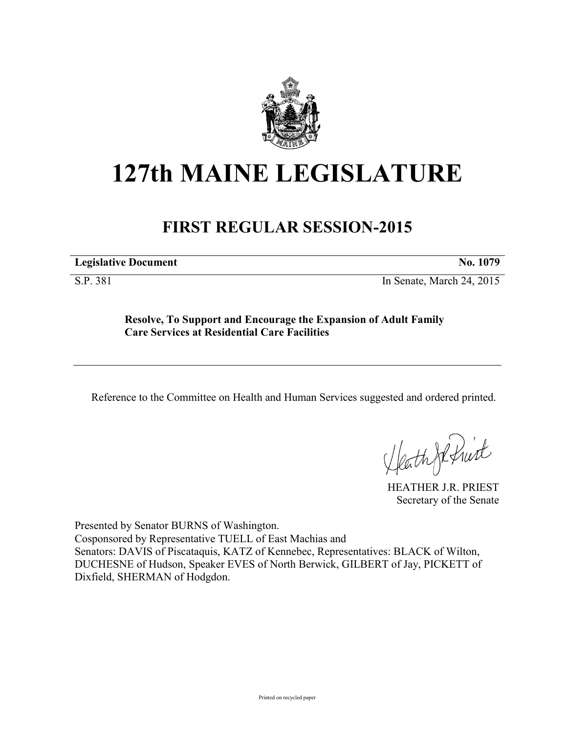

# **127th MAINE LEGISLATURE**

## **FIRST REGULAR SESSION-2015**

**Legislative Document No. 1079** 

S.P. 381 In Senate, March 24, 2015

**Resolve, To Support and Encourage the Expansion of Adult Family Care Services at Residential Care Facilities**

Reference to the Committee on Health and Human Services suggested and ordered printed.

Heath Je frist

HEATHER J.R. PRIEST Secretary of the Senate

Presented by Senator BURNS of Washington. Cosponsored by Representative TUELL of East Machias and Senators: DAVIS of Piscataquis, KATZ of Kennebec, Representatives: BLACK of Wilton, DUCHESNE of Hudson, Speaker EVES of North Berwick, GILBERT of Jay, PICKETT of Dixfield, SHERMAN of Hodgdon.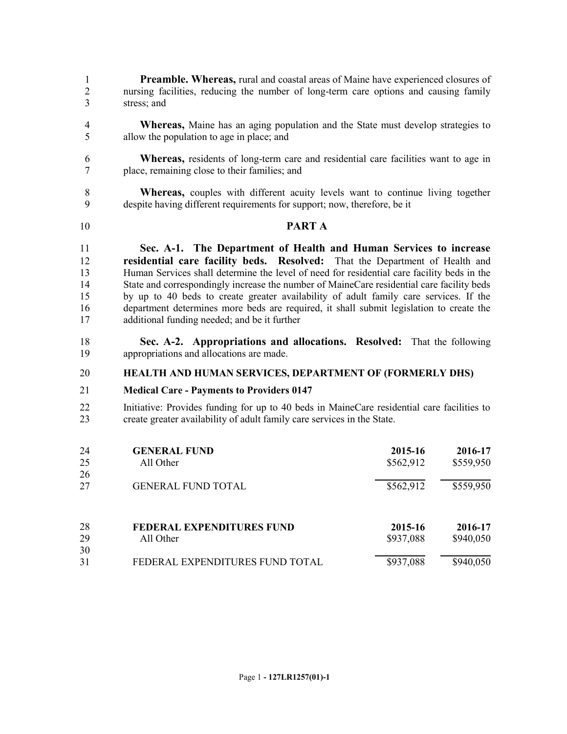**Preamble. Whereas,** rural and coastal areas of Maine have experienced closures of nursing facilities, reducing the number of long-term care options and causing family stress; and

- **Whereas,** Maine has an aging population and the State must develop strategies to allow the population to age in place; and
- **Whereas,** residents of long-term care and residential care facilities want to age in place, remaining close to their families; and
- 8 **Whereas,** couples with different acuity levels want to continue living together despite having different requirements for support now therefore be it despite having different requirements for support; now, therefore, be it

### **PART A**

 **Sec. A-1. The Department of Health and Human Services to increase residential care facility beds. Resolved:** That the Department of Health and Human Services shall determine the level of need for residential care facility beds in the State and correspondingly increase the number of MaineCare residential care facility beds by up to 40 beds to create greater availability of adult family care services. If the department determines more beds are required, it shall submit legislation to create the additional funding needed; and be it further

 **Sec. A-2. Appropriations and allocations. Resolved:** That the following appropriations and allocations are made.

#### **HEALTH AND HUMAN SERVICES, DEPARTMENT OF (FORMERLY DHS)**

#### **Medical Care - Payments to Providers 0147**

 Initiative: Provides funding for up to 40 beds in MaineCare residential care facilities to create greater availability of adult family care services in the State.

| 24 | <b>GENERAL FUND</b>              | 2015-16   | 2016-17   |
|----|----------------------------------|-----------|-----------|
| 25 | All Other                        | \$562,912 | \$559,950 |
| 26 |                                  |           |           |
| 27 | <b>GENERAL FUND TOTAL</b>        | \$562,912 | \$559,950 |
|    |                                  |           |           |
| 28 | <b>FEDERAL EXPENDITURES FUND</b> | 2015-16   | 2016-17   |
| 29 | All Other                        | \$937,088 | \$940,050 |
| 30 |                                  |           |           |
| 31 | FEDERAL EXPENDITURES FUND TOTAL  | \$937,088 | \$940,050 |